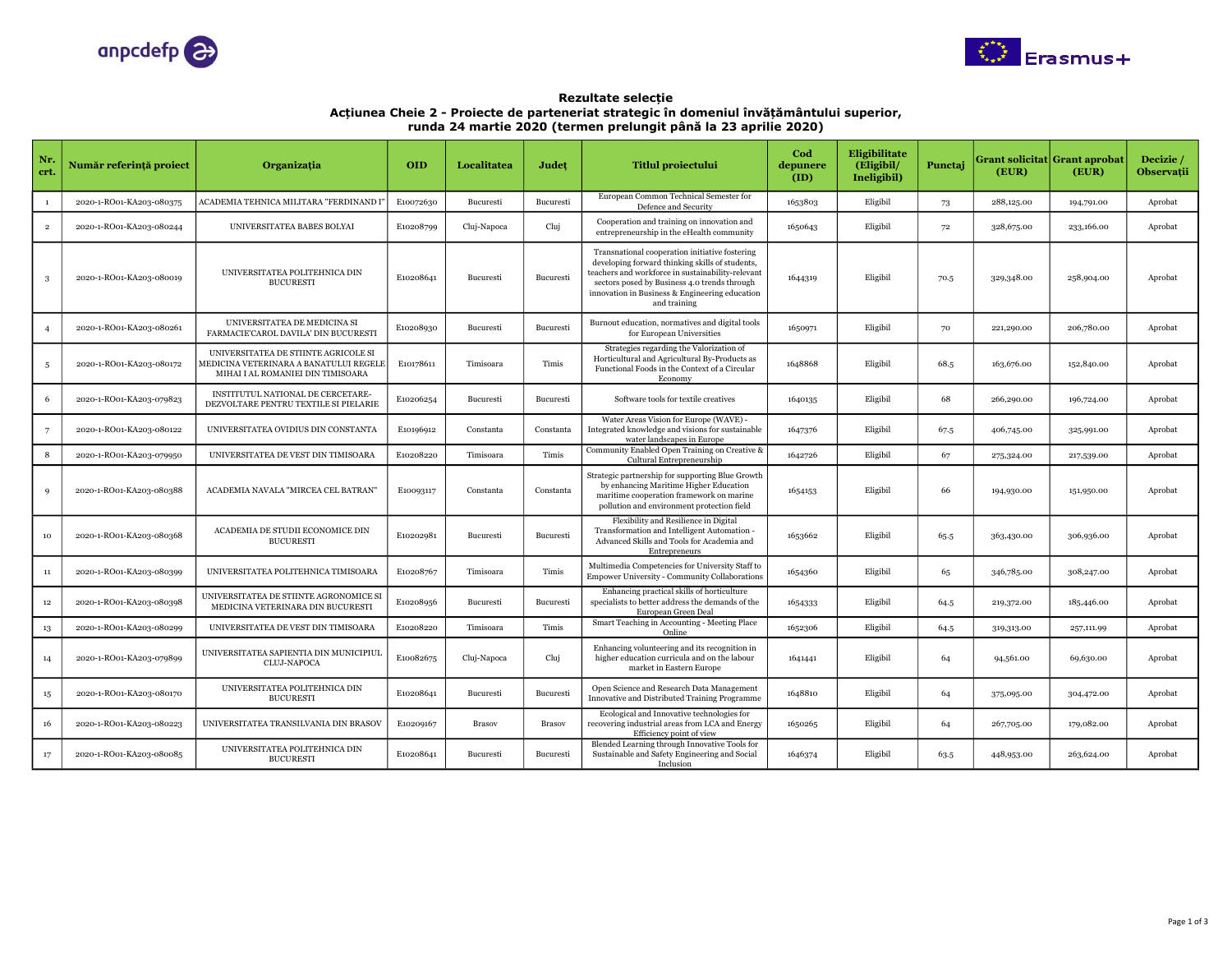



Rezultate selecție Acțiunea Cheie 2 - Proiecte de parteneriat strategic în domeniul învățământului superior, runda 24 martie 2020 (termen prelungit până la 23 aprilie 2020)

| Nr<br>crt.      | Număr referință proiect  | Organizatia                                                                                                         | <b>OID</b> | Localitatea | Judet     | <b>Titlul proiectului</b>                                                                                                                                                                                                                                                | Cod<br>depunere<br>(ID) | <b>Eligibilitate</b><br>(Eligibil)<br>Ineligibil) | Punctaj | (EUR)      | Grant solicitat  Grant aprobat<br>(EUR) | Decizie /<br><b>Observatii</b> |
|-----------------|--------------------------|---------------------------------------------------------------------------------------------------------------------|------------|-------------|-----------|--------------------------------------------------------------------------------------------------------------------------------------------------------------------------------------------------------------------------------------------------------------------------|-------------------------|---------------------------------------------------|---------|------------|-----------------------------------------|--------------------------------|
| $\mathbf{1}$    | 2020-1-RO01-KA203-080375 | ACADEMIA TEHNICA MILITARA "FERDINAND I'                                                                             | E10072630  | Bucuresti   | Bucuresti | European Common Technical Semester for<br>Defence and Security                                                                                                                                                                                                           | 1653803                 | Eligibil                                          | 73      | 288,125.00 | 194,791.00                              | Aprobat                        |
| $\overline{2}$  | 2020-1-RO01-KA203-080244 | UNIVERSITATEA BABES BOLYAI                                                                                          | E10208799  | Cluj-Napoca | Cluj      | Cooperation and training on innovation and<br>entrepreneurship in the eHealth community                                                                                                                                                                                  | 1650643                 | Eligibil                                          | $72\,$  | 328,675.00 | 233,166.00                              | Aprobat                        |
| -3              | 2020-1-RO01-KA203-080019 | UNIVERSITATEA POLITEHNICA DIN<br><b>BUCURESTI</b>                                                                   | E10208641  | Bucuresti   | Bucuresti | Transnational cooperation initiative fostering<br>developing forward thinking skills of students,<br>teachers and workforce in sustainability-relevant<br>sectors posed by Business 4.0 trends through<br>innovation in Business & Engineering education<br>and training | 1644319                 | Eligibil                                          | 70.5    | 329,348.00 | 258,904.00                              | Aprobat                        |
|                 | 2020-1-RO01-KA203-080261 | UNIVERSITATEA DE MEDICINA SI<br>FARMACIE'CAROL DAVILA' DIN BUCURESTI                                                | E10208930  | Bucuresti   | Bucuresti | Burnout education, normatives and digital tools<br>for European Universities                                                                                                                                                                                             | 1650971                 | Eligibil                                          | 70      | 221,290.00 | 206,780.00                              | Aprobat                        |
| -5              | 2020-1-RO01-KA203-080172 | UNIVERSITATEA DE STIINTE AGRICOLE SI<br>MEDICINA VETERINARA A BANATULUI REGELE<br>MIHAI I AL ROMANIEI DIN TIMISOARA | E10178611  | Timisoara   | Timis     | Strategies regarding the Valorization of<br>Horticultural and Agricultural By-Products as<br>Functional Foods in the Context of a Circular<br>Economy                                                                                                                    | 1648868                 | Eligibil                                          | 68.5    | 163,676.00 | 152,840.00                              | Aprobat                        |
| 6               | 2020-1-RO01-KA203-079823 | INSTITUTUL NATIONAL DE CERCETARE-<br>DEZVOLTARE PENTRU TEXTILE SI PIELARIE                                          | E10206254  | Bucuresti   | Bucuresti | Software tools for textile creatives                                                                                                                                                                                                                                     | 1640135                 | Eligibil                                          | 68      | 266,290.00 | 196,724.00                              | Aprobat                        |
| $7\overline{ }$ | 2020-1-RO01-KA203-080122 | UNIVERSITATEA OVIDIUS DIN CONSTANTA                                                                                 | E10196912  | Constanta   | Constanta | Water Areas Vision for Europe (WAVE) -<br>Integrated knowledge and visions for sustainable<br>water landscapes in Europe                                                                                                                                                 | 1647376                 | Eligibil                                          | 67.5    | 406,745.00 | 325,991.00                              | Aprobat                        |
| 8               | 2020-1-RO01-KA203-079950 | UNIVERSITATEA DE VEST DIN TIMISOARA                                                                                 | E10208220  | Timisoara   | Timis     | Community Enabled Open Training on Creative &<br>Cultural Entrepreneurship                                                                                                                                                                                               | 1642726                 | Eligibil                                          | 67      | 275,324.00 | 217,539.00                              | Aprobat                        |
| 9               | 2020-1-RO01-KA203-080388 | ACADEMIA NAVALA "MIRCEA CEL BATRAN"                                                                                 | E10093117  | Constanta   | Constanta | Strategic partnership for supporting Blue Growth<br>by enhancing Maritime Higher Education<br>maritime cooperation framework on marine<br>pollution and environment protection field                                                                                     | 1654153                 | Eligibil                                          | 66      | 194,930.00 | 151,950.00                              | Aprobat                        |
| 10              | 2020-1-RO01-KA203-080368 | ACADEMIA DE STUDII ECONOMICE DIN<br><b>BUCURESTI</b>                                                                | E10202981  | Bucuresti   | Bucuresti | Flexibility and Resilience in Digital<br>Transformation and Intelligent Automation -<br>Advanced Skills and Tools for Academia and<br>Entrepreneurs                                                                                                                      | 1653662                 | Eligibil                                          | 65.5    | 363,430.00 | 306,936.00                              | Aprobat                        |
| $11\,$          | 2020-1-RO01-KA203-080399 | UNIVERSITATEA POLITEHNICA TIMISOARA                                                                                 | E10208767  | Timisoara   | Timis     | Multimedia Competencies for University Staff to<br><b>Empower University - Community Collaborations</b>                                                                                                                                                                  | 1654360                 | Eligibil                                          | 65      | 346,785.00 | 308,247.00                              | Aprobat                        |
| $12\,$          | 2020-1-RO01-KA203-080398 | UNIVERSITATEA DE STIINTE AGRONOMICE SI<br>MEDICINA VETERINARA DIN BUCURESTI                                         | E10208956  | Bucuresti   | Bucuresti | Enhancing practical skills of horticulture<br>specialists to better address the demands of the<br>European Green Deal                                                                                                                                                    | 1654333                 | Eligibil                                          | 64.5    | 219,372.00 | 185,446.00                              | Aprobat                        |
| $^{\rm 13}$     | 2020-1-RO01-KA203-080299 | UNIVERSITATEA DE VEST DIN TIMISOARA                                                                                 | E10208220  | Timisoara   | Timis     | Smart Teaching in Accounting - Meeting Place<br>Online                                                                                                                                                                                                                   | 1652306                 | Eligibil                                          | 64.5    | 319,313.00 | 257,111.99                              | Aprobat                        |
| 14              | 2020-1-RO01-KA203-079899 | UNIVERSITATEA SAPIENTIA DIN MUNICIPIUL<br><b>CLUJ-NAPOCA</b>                                                        | E10082675  | Cluj-Napoca | Cluj      | Enhancing volunteering and its recognition in<br>higher education curricula and on the labour<br>market in Eastern Europe                                                                                                                                                | 1641441                 | Eligibil                                          | 64      | 94,561.00  | 69,630.00                               | Aprobat                        |
| 15              | 2020-1-RO01-KA203-080170 | UNIVERSITATEA POLITEHNICA DIN<br><b>BUCURESTI</b>                                                                   | E10208641  | Bucuresti   | Bucuresti | Open Science and Research Data Management<br>Innovative and Distributed Training Programme                                                                                                                                                                               | 1648810                 | Eligibil                                          | 64      | 375,095.00 | 304,472.00                              | Aprobat                        |
| 16              | 2020-1-RO01-KA203-080223 | UNIVERSITATEA TRANSILVANIA DIN BRASOV                                                                               | E10209167  | Brasov      | Brasov    | Ecological and Innovative technologies for<br>recovering industrial areas from LCA and Energy<br>Efficiency point of view                                                                                                                                                | 1650265                 | Eligibil                                          | 64      | 267,705.00 | 179,082.00                              | Aprobat                        |
| 17              | 2020-1-RO01-KA203-080085 | UNIVERSITATEA POLITEHNICA DIN<br><b>BUCURESTI</b>                                                                   | E10208641  | Bucuresti   | Bucuresti | Blended Learning through Innovative Tools for<br>Sustainable and Safety Engineering and Social<br>Inclusion                                                                                                                                                              | 1646374                 | Eligibil                                          | 63.5    | 448,953.00 | 263,624.00                              | Aprobat                        |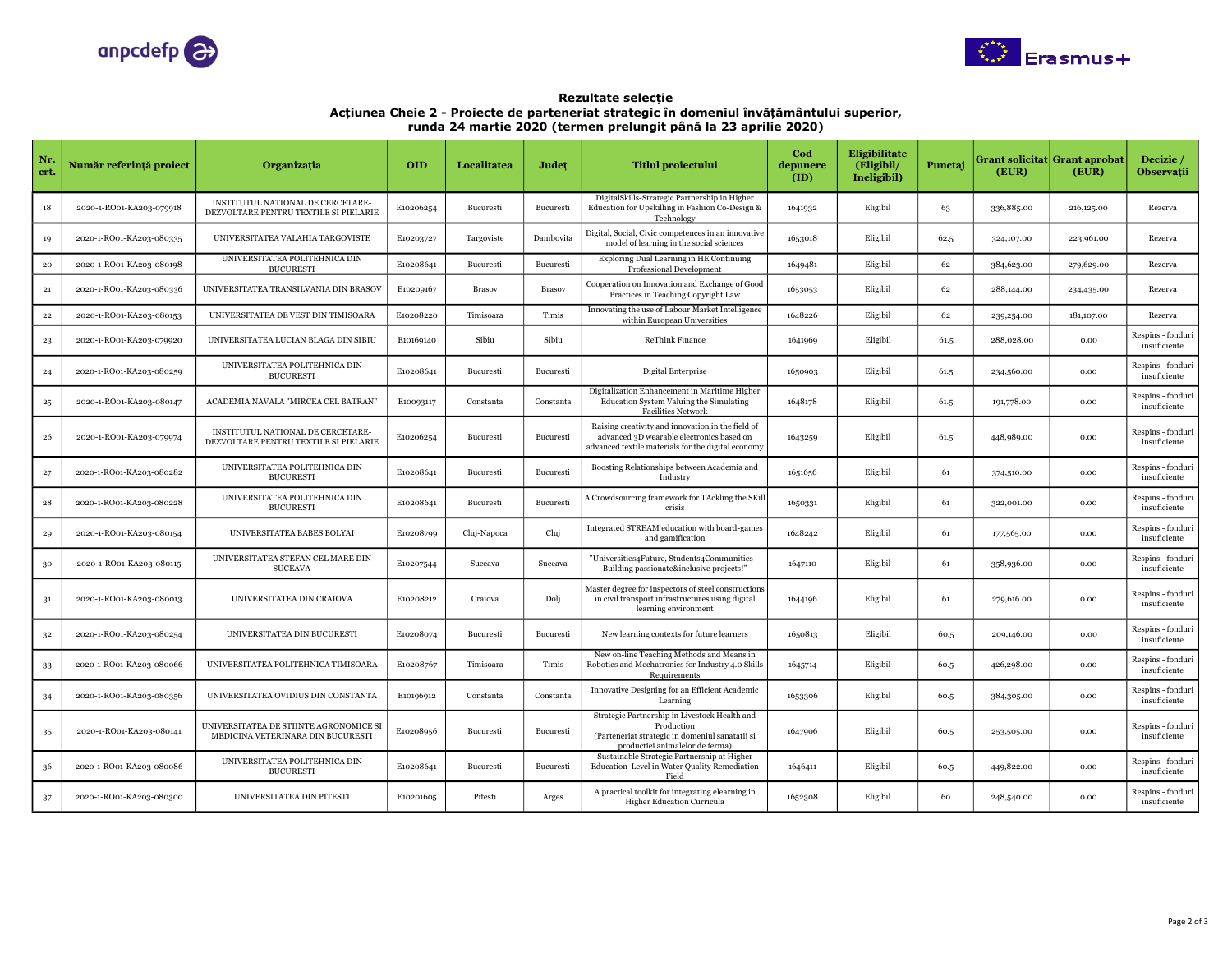



Rezultate selecție Acțiunea Cheie 2 - Proiecte de parteneriat strategic în domeniul învățământului superior, runda 24 martie 2020 (termen prelungit până la 23 aprilie 2020)

| Nr.<br>crt.  | Număr referință proiect  | Organizatia                                                                 | <b>OID</b> | Localitatea | Judet         | <b>Titlul proiectului</b>                                                                                                                            | Cod<br>depunere<br>(ID) | Eligibilitate<br>(Eligibil/<br>Ineligibil) | Punctaj | (EUR)      | Grant solicitat  Grant aprobat<br>(EUR) | Decizie /<br>Observații           |
|--------------|--------------------------|-----------------------------------------------------------------------------|------------|-------------|---------------|------------------------------------------------------------------------------------------------------------------------------------------------------|-------------------------|--------------------------------------------|---------|------------|-----------------------------------------|-----------------------------------|
| 18           | 2020-1-RO01-KA203-079918 | INSTITUTUL NATIONAL DE CERCETARE-<br>DEZVOLTARE PENTRU TEXTILE SI PIELARIE  | E10206254  | Bucuresti   | Bucuresti     | DigitalSkills-Strategic Partnership in Higher<br>Education for Upskilling in Fashion Co-Design &<br>Technology                                       | 1641932                 | Eligibil                                   | 63      | 336,885.00 | 216,125.00                              | Rezerva                           |
| 19           | 2020-1-RO01-KA203-080335 | UNIVERSITATEA VALAHIA TARGOVISTE                                            | E10203727  | Targoviste  | Dambovita     | Digital, Social, Civic competences in an innovative<br>model of learning in the social sciences                                                      | 1653018                 | Eligibil                                   | 62.5    | 324,107.00 | 223,961.00                              | Rezerva                           |
| $20\,$       | 2020-1-RO01-KA203-080198 | UNIVERSITATEA POLITEHNICA DIN<br><b>BUCURESTI</b>                           | E10208641  | Bucuresti   | Bucuresti     | Exploring Dual Learning in HE Continuing<br>Professional Development                                                                                 | 1649481                 | Eligibil                                   | 62      | 384,623.00 | 279,629.00                              | Rezerva                           |
| 21           | 2020-1-RO01-KA203-080336 | UNIVERSITATEA TRANSILVANIA DIN BRASOV                                       | E10209167  | Brasov      | <b>Brasov</b> | Cooperation on Innovation and Exchange of Good<br>Practices in Teaching Copyright Law                                                                | 1653053                 | Eligibil                                   | 62      | 288,144.00 | 234,435.00                              | Rezerva                           |
| ${\bf 22}$   | 2020-1-RO01-KA203-080153 | UNIVERSITATEA DE VEST DIN TIMISOARA                                         | E10208220  | Timisoara   | Timis         | Innovating the use of Labour Market Intelligence<br>within European Universities                                                                     | 1648226                 | Eligibil                                   | 62      | 239,254.00 | 181,107.00                              | Rezerva                           |
| $^{\rm 23}$  | 2020-1-RO01-KA203-079920 | UNIVERSITATEA LUCIAN BLAGA DIN SIBIU                                        | E10169140  | Sibiu       | Sibiu         | ReThink Finance                                                                                                                                      | 1641969                 | Eligibil                                   | 61.5    | 288,028.00 | 0.00                                    | Respins - fonduri<br>insuficiente |
| 24           | 2020-1-RO01-KA203-080259 | UNIVERSITATEA POLITEHNICA DIN<br><b>BUCURESTI</b>                           | E10208641  | Bucuresti   | Bucuresti     | Digital Enterprise                                                                                                                                   | 1650903                 | Eligibil                                   | 61.5    | 234,560.00 | 0.00                                    | Respins - fonduri<br>insuficiente |
| $\bf{^{25}}$ | 2020-1-RO01-KA203-080147 | ACADEMIA NAVALA "MIRCEA CEL BATRAN"                                         | E10093117  | Constanta   | Constanta     | Digitalization Enhancement in Maritime Higher<br>Education System Valuing the Simulating<br><b>Facilities Network</b>                                | 1648178                 | Eligibil                                   | 61.5    | 191,778.00 | 0.00                                    | Respins - fonduri<br>insuficiente |
| 26           | 2020-1-RO01-KA203-079974 | INSTITUTUL NATIONAL DE CERCETARE-<br>DEZVOLTARE PENTRU TEXTILE SI PIELARIE  | E10206254  | Bucuresti   | Bucuresti     | Raising creativity and innovation in the field of<br>advanced 3D wearable electronics based on<br>advanced textile materials for the digital economy | 1643259                 | Eligibil                                   | 61.5    | 448,989.00 | 0.00                                    | Respins - fonduri<br>insuficiente |
| 27           | 2020-1-RO01-KA203-080282 | UNIVERSITATEA POLITEHNICA DIN<br><b>BUCURESTI</b>                           | E10208641  | Bucuresti   | Bucuresti     | Boosting Relationships between Academia and<br>Industry                                                                                              | 1651656                 | Eligibil                                   | 61      | 374,510.00 | 0.00                                    | Respins - fonduri<br>insuficiente |
| 28           | 2020-1-RO01-KA203-080228 | UNIVERSITATEA POLITEHNICA DIN<br><b>BUCURESTI</b>                           | E10208641  | Bucuresti   | Bucuresti     | A Crowdsourcing framework for TAckling the SKill<br>crisis                                                                                           | 1650331                 | Eligibil                                   | 61      | 322,001.00 | 0.00                                    | Respins - fonduri<br>insuficiente |
| 29           | 2020-1-RO01-KA203-080154 | UNIVERSITATEA BABES BOLYAI                                                  | E10208799  | Cluj-Napoca | Cluj          | Integrated STREAM education with board-games<br>and gamification                                                                                     | 1648242                 | Eligibil                                   | 61      | 177,565.00 | 0.00                                    | Respins - fonduri<br>insuficiente |
| 30           | 2020-1-RO01-KA203-080115 | UNIVERSITATEA STEFAN CEL MARE DIN<br><b>SUCEAVA</b>                         | E10207544  | Suceava     | Suceava       | "Universities4Future, Students4Communities -<br>Building passionate&inclusive projects!"                                                             | 1647110                 | Eligibil                                   | 61      | 358,936.00 | 0.00                                    | Respins - fonduri<br>insuficiente |
| 31           | 2020-1-RO01-KA203-080013 | UNIVERSITATEA DIN CRAIOVA                                                   | E10208212  | Craiova     | Dolj          | Master degree for inspectors of steel constructions<br>in civil transport infrastructures using digital<br>learning environment                      | 1644196                 | Eligibil                                   | 61      | 279,616.00 | 0.00                                    | Respins - fonduri<br>insuficiente |
| 32           | 2020-1-RO01-KA203-080254 | UNIVERSITATEA DIN BUCURESTI                                                 | E10208074  | Bucuresti   | Bucuresti     | New learning contexts for future learners                                                                                                            | 1650813                 | Eligibil                                   | 60.5    | 209,146.00 | 0.00                                    | Respins - fonduri<br>insuficiente |
| 33           | 2020-1-RO01-KA203-080066 | UNIVERSITATEA POLITEHNICA TIMISOARA                                         | E10208767  | Timisoara   | Timis         | New on-line Teaching Methods and Means in<br>Robotics and Mechatronics for Industry 4.0 Skills<br>Requirements                                       | 1645714                 | Eligibil                                   | 60.5    | 426,298.00 | 0.00                                    | Respins - fonduri<br>insuficiente |
| 34           | 2020-1-RO01-KA203-080356 | UNIVERSITATEA OVIDIUS DIN CONSTANTA                                         | E10196912  | Constanta   | Constanta     | Innovative Designing for an Efficient Academic<br>Learning                                                                                           | 1653306                 | Eligibil                                   | 60.5    | 384,305.00 | 0.00                                    | Respins - fonduri<br>insuficiente |
| 35           | 2020-1-RO01-KA203-080141 | UNIVERSITATEA DE STIINTE AGRONOMICE SI<br>MEDICINA VETERINARA DIN BUCURESTI | E10208956  | Bucuresti   | Bucuresti     | Strategic Partnership in Livestock Health and<br>Production<br>(Parteneriat strategic in domeniul sanatatii si<br>productiei animalelor de ferma)    | 1647906                 | Eligibil                                   | 60.5    | 253,505.00 | 0.00                                    | Respins - fonduri<br>insuficiente |
| 36           | 2020-1-RO01-KA203-080086 | UNIVERSITATEA POLITEHNICA DIN<br><b>BUCURESTI</b>                           | E10208641  | Bucuresti   | Bucuresti     | Sustainable Strategic Partnership at Higher<br>Education Level in Water Quality Remediation<br>Field                                                 | 1646411                 | Eligibil                                   | 60.5    | 449,822.00 | 0.00                                    | Respins - fonduri<br>insuficiente |
| 37           | 2020-1-RO01-KA203-080300 | UNIVERSITATEA DIN PITESTI                                                   | E10201605  | Pitesti     | Arges         | A practical toolkit for integrating elearning in<br><b>Higher Education Curricula</b>                                                                | 1652308                 | Eligibil                                   | 60      | 248,540.00 | 0.00                                    | Respins - fonduri<br>insuficiente |